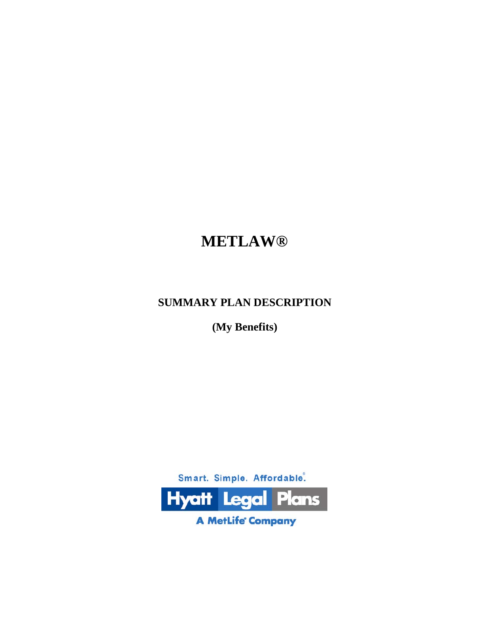# **METLAW®**

## **SUMMARY PLAN DESCRIPTION**

**(My Benefits)**



**A MetLife' Company**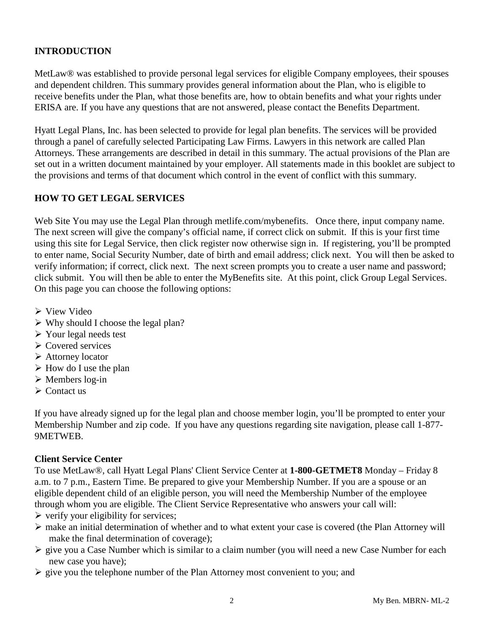## **INTRODUCTION**

MetLaw® was established to provide personal legal services for eligible Company employees, their spouses and dependent children. This summary provides general information about the Plan, who is eligible to receive benefits under the Plan, what those benefits are, how to obtain benefits and what your rights under ERISA are. If you have any questions that are not answered, please contact the Benefits Department.

Hyatt Legal Plans, Inc. has been selected to provide for legal plan benefits. The services will be provided through a panel of carefully selected Participating Law Firms. Lawyers in this network are called Plan Attorneys. These arrangements are described in detail in this summary. The actual provisions of the Plan are set out in a written document maintained by your employer. All statements made in this booklet are subject to the provisions and terms of that document which control in the event of conflict with this summary.

## **HOW TO GET LEGAL SERVICES**

Web Site You may use the Legal Plan through metlife.com/mybenefits. Once there, input company name. The next screen will give the company's official name, if correct click on submit. If this is your first time using this site for Legal Service, then click register now otherwise sign in. If registering, you'll be prompted to enter name, Social Security Number, date of birth and email address; click next. You will then be asked to verify information; if correct, click next. The next screen prompts you to create a user name and password; click submit. You will then be able to enter the MyBenefits site. At this point, click Group Legal Services. On this page you can choose the following options:

- $\triangleright$  View Video
- $\triangleright$  Why should I choose the legal plan?
- Your legal needs test
- $\triangleright$  Covered services
- Attorney locator
- $\triangleright$  How do I use the plan
- $\triangleright$  Members log-in
- $\triangleright$  Contact us

If you have already signed up for the legal plan and choose member login, you'll be prompted to enter your Membership Number and zip code. If you have any questions regarding site navigation, please call 1-877- 9METWEB.

## **Client Service Center**

To use MetLaw®, call Hyatt Legal Plans' Client Service Center at **1-800-GETMET8** Monday – Friday 8 a.m. to 7 p.m., Eastern Time. Be prepared to give your Membership Number. If you are a spouse or an eligible dependent child of an eligible person, you will need the Membership Number of the employee through whom you are eligible. The Client Service Representative who answers your call will:

- $\triangleright$  verify your eligibility for services;
- make an initial determination of whether and to what extent your case is covered (the Plan Attorney will make the final determination of coverage);
- $\triangleright$  give you a Case Number which is similar to a claim number (you will need a new Case Number for each new case you have);
- $\triangleright$  give you the telephone number of the Plan Attorney most convenient to you; and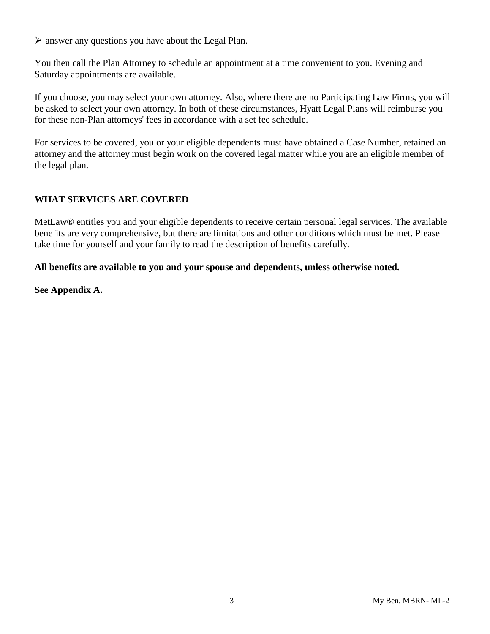$\triangleright$  answer any questions you have about the Legal Plan.

You then call the Plan Attorney to schedule an appointment at a time convenient to you. Evening and Saturday appointments are available.

If you choose, you may select your own attorney. Also, where there are no Participating Law Firms, you will be asked to select your own attorney. In both of these circumstances, Hyatt Legal Plans will reimburse you for these non-Plan attorneys' fees in accordance with a set fee schedule.

For services to be covered, you or your eligible dependents must have obtained a Case Number, retained an attorney and the attorney must begin work on the covered legal matter while you are an eligible member of the legal plan.

## **WHAT SERVICES ARE COVERED**

MetLaw® entitles you and your eligible dependents to receive certain personal legal services. The available benefits are very comprehensive, but there are limitations and other conditions which must be met. Please take time for yourself and your family to read the description of benefits carefully.

#### **All benefits are available to you and your spouse and dependents, unless otherwise noted.**

**See Appendix A.**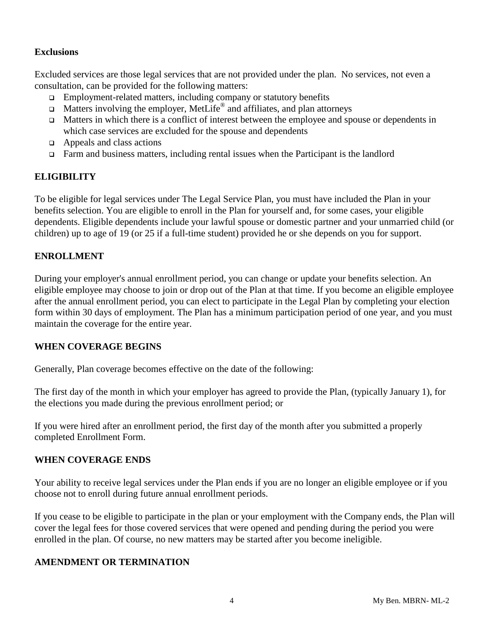#### **Exclusions**

Excluded services are those legal services that are not provided under the plan. No services, not even a consultation, can be provided for the following matters:

- $\Box$  Employment-related matters, including company or statutory benefits
- $\Box$  Matters involving the employer, MetLife<sup>®</sup> and affiliates, and plan attorneys
- Matters in which there is a conflict of interest between the employee and spouse or dependents in which case services are excluded for the spouse and dependents
- $\Box$  Appeals and class actions
- $\Box$  Farm and business matters, including rental issues when the Participant is the landlord

## **ELIGIBILITY**

To be eligible for legal services under The Legal Service Plan, you must have included the Plan in your benefits selection. You are eligible to enroll in the Plan for yourself and, for some cases, your eligible dependents. Eligible dependents include your lawful spouse or domestic partner and your unmarried child (or children) up to age of 19 (or 25 if a full-time student) provided he or she depends on you for support.

## **ENROLLMENT**

During your employer's annual enrollment period, you can change or update your benefits selection. An eligible employee may choose to join or drop out of the Plan at that time. If you become an eligible employee after the annual enrollment period, you can elect to participate in the Legal Plan by completing your election form within 30 days of employment. The Plan has a minimum participation period of one year, and you must maintain the coverage for the entire year.

#### **WHEN COVERAGE BEGINS**

Generally, Plan coverage becomes effective on the date of the following:

The first day of the month in which your employer has agreed to provide the Plan, (typically January 1), for the elections you made during the previous enrollment period; or

If you were hired after an enrollment period, the first day of the month after you submitted a properly completed Enrollment Form.

## **WHEN COVERAGE ENDS**

Your ability to receive legal services under the Plan ends if you are no longer an eligible employee or if you choose not to enroll during future annual enrollment periods.

If you cease to be eligible to participate in the plan or your employment with the Company ends, the Plan will cover the legal fees for those covered services that were opened and pending during the period you were enrolled in the plan. Of course, no new matters may be started after you become ineligible.

## **AMENDMENT OR TERMINATION**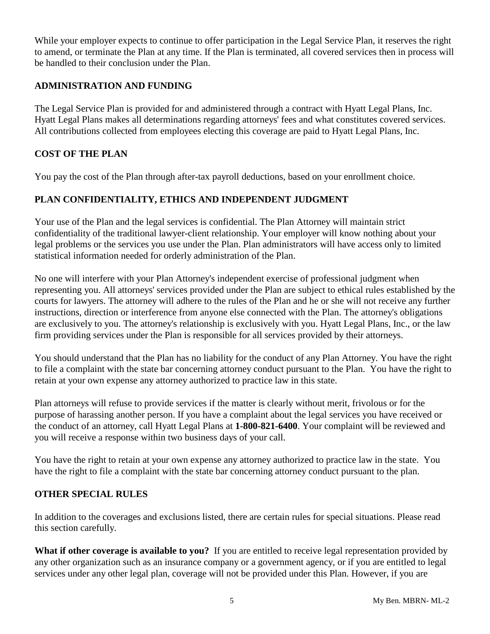While your employer expects to continue to offer participation in the Legal Service Plan, it reserves the right to amend, or terminate the Plan at any time. If the Plan is terminated, all covered services then in process will be handled to their conclusion under the Plan.

## **ADMINISTRATION AND FUNDING**

The Legal Service Plan is provided for and administered through a contract with Hyatt Legal Plans, Inc. Hyatt Legal Plans makes all determinations regarding attorneys' fees and what constitutes covered services. All contributions collected from employees electing this coverage are paid to Hyatt Legal Plans, Inc.

## **COST OF THE PLAN**

You pay the cost of the Plan through after-tax payroll deductions, based on your enrollment choice.

## **PLAN CONFIDENTIALITY, ETHICS AND INDEPENDENT JUDGMENT**

Your use of the Plan and the legal services is confidential. The Plan Attorney will maintain strict confidentiality of the traditional lawyer-client relationship. Your employer will know nothing about your legal problems or the services you use under the Plan. Plan administrators will have access only to limited statistical information needed for orderly administration of the Plan.

No one will interfere with your Plan Attorney's independent exercise of professional judgment when representing you. All attorneys' services provided under the Plan are subject to ethical rules established by the courts for lawyers. The attorney will adhere to the rules of the Plan and he or she will not receive any further instructions, direction or interference from anyone else connected with the Plan. The attorney's obligations are exclusively to you. The attorney's relationship is exclusively with you. Hyatt Legal Plans, Inc., or the law firm providing services under the Plan is responsible for all services provided by their attorneys.

You should understand that the Plan has no liability for the conduct of any Plan Attorney. You have the right to file a complaint with the state bar concerning attorney conduct pursuant to the Plan. You have the right to retain at your own expense any attorney authorized to practice law in this state.

Plan attorneys will refuse to provide services if the matter is clearly without merit, frivolous or for the purpose of harassing another person. If you have a complaint about the legal services you have received or the conduct of an attorney, call Hyatt Legal Plans at **1-800-821-6400**. Your complaint will be reviewed and you will receive a response within two business days of your call.

You have the right to retain at your own expense any attorney authorized to practice law in the state. You have the right to file a complaint with the state bar concerning attorney conduct pursuant to the plan.

## **OTHER SPECIAL RULES**

In addition to the coverages and exclusions listed, there are certain rules for special situations. Please read this section carefully.

**What if other coverage is available to you?** If you are entitled to receive legal representation provided by any other organization such as an insurance company or a government agency, or if you are entitled to legal services under any other legal plan, coverage will not be provided under this Plan. However, if you are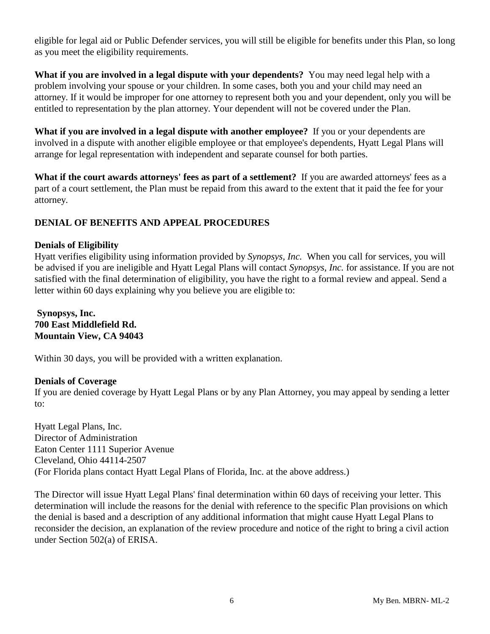eligible for legal aid or Public Defender services, you will still be eligible for benefits under this Plan, so long as you meet the eligibility requirements.

**What if you are involved in a legal dispute with your dependents?** You may need legal help with a problem involving your spouse or your children. In some cases, both you and your child may need an attorney. If it would be improper for one attorney to represent both you and your dependent, only you will be entitled to representation by the plan attorney. Your dependent will not be covered under the Plan.

**What if you are involved in a legal dispute with another employee?** If you or your dependents are involved in a dispute with another eligible employee or that employee's dependents, Hyatt Legal Plans will arrange for legal representation with independent and separate counsel for both parties.

**What if the court awards attorneys' fees as part of a settlement?** If you are awarded attorneys' fees as a part of a court settlement, the Plan must be repaid from this award to the extent that it paid the fee for your attorney.

## **DENIAL OF BENEFITS AND APPEAL PROCEDURES**

#### **Denials of Eligibility**

Hyatt verifies eligibility using information provided by *Synopsys, Inc.* When you call for services, you will be advised if you are ineligible and Hyatt Legal Plans will contact *Synopsys, Inc.* for assistance. If you are not satisfied with the final determination of eligibility, you have the right to a formal review and appeal. Send a letter within 60 days explaining why you believe you are eligible to:

**Synopsys, Inc. 700 East Middlefield Rd. Mountain View, CA 94043**

Within 30 days, you will be provided with a written explanation.

#### **Denials of Coverage**

If you are denied coverage by Hyatt Legal Plans or by any Plan Attorney, you may appeal by sending a letter to:

Hyatt Legal Plans, Inc. Director of Administration Eaton Center 1111 Superior Avenue Cleveland, Ohio 44114-2507 (For Florida plans contact Hyatt Legal Plans of Florida, Inc. at the above address.)

The Director will issue Hyatt Legal Plans' final determination within 60 days of receiving your letter. This determination will include the reasons for the denial with reference to the specific Plan provisions on which the denial is based and a description of any additional information that might cause Hyatt Legal Plans to reconsider the decision, an explanation of the review procedure and notice of the right to bring a civil action under Section 502(a) of ERISA.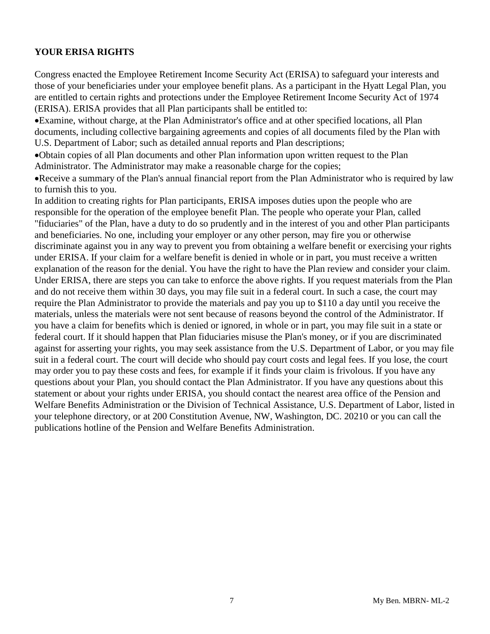## **YOUR ERISA RIGHTS**

Congress enacted the Employee Retirement Income Security Act (ERISA) to safeguard your interests and those of your beneficiaries under your employee benefit plans. As a participant in the Hyatt Legal Plan, you are entitled to certain rights and protections under the Employee Retirement Income Security Act of 1974 (ERISA). ERISA provides that all Plan participants shall be entitled to:

•Examine, without charge, at the Plan Administrator's office and at other specified locations, all Plan documents, including collective bargaining agreements and copies of all documents filed by the Plan with U.S. Department of Labor; such as detailed annual reports and Plan descriptions;

•Obtain copies of all Plan documents and other Plan information upon written request to the Plan Administrator. The Administrator may make a reasonable charge for the copies;

•Receive a summary of the Plan's annual financial report from the Plan Administrator who is required by law to furnish this to you.

In addition to creating rights for Plan participants, ERISA imposes duties upon the people who are responsible for the operation of the employee benefit Plan. The people who operate your Plan, called "fiduciaries" of the Plan, have a duty to do so prudently and in the interest of you and other Plan participants and beneficiaries. No one, including your employer or any other person, may fire you or otherwise discriminate against you in any way to prevent you from obtaining a welfare benefit or exercising your rights under ERISA. If your claim for a welfare benefit is denied in whole or in part, you must receive a written explanation of the reason for the denial. You have the right to have the Plan review and consider your claim. Under ERISA, there are steps you can take to enforce the above rights. If you request materials from the Plan and do not receive them within 30 days, you may file suit in a federal court. In such a case, the court may require the Plan Administrator to provide the materials and pay you up to \$110 a day until you receive the materials, unless the materials were not sent because of reasons beyond the control of the Administrator. If you have a claim for benefits which is denied or ignored, in whole or in part, you may file suit in a state or federal court. If it should happen that Plan fiduciaries misuse the Plan's money, or if you are discriminated against for asserting your rights, you may seek assistance from the U.S. Department of Labor, or you may file suit in a federal court. The court will decide who should pay court costs and legal fees. If you lose, the court may order you to pay these costs and fees, for example if it finds your claim is frivolous. If you have any questions about your Plan, you should contact the Plan Administrator. If you have any questions about this statement or about your rights under ERISA, you should contact the nearest area office of the Pension and Welfare Benefits Administration or the Division of Technical Assistance, U.S. Department of Labor, listed in your telephone directory, or at 200 Constitution Avenue, NW, Washington, DC. 20210 or you can call the publications hotline of the Pension and Welfare Benefits Administration.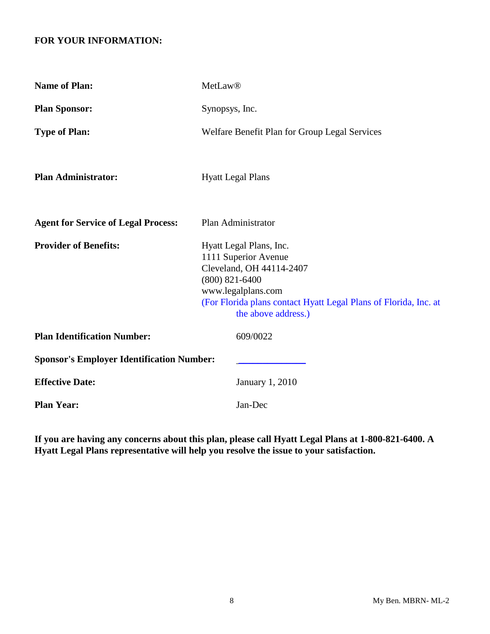## **FOR YOUR INFORMATION:**

| <b>Name of Plan:</b>                             | <b>MetLaw®</b>                                                                                                                                                                                                     |
|--------------------------------------------------|--------------------------------------------------------------------------------------------------------------------------------------------------------------------------------------------------------------------|
| <b>Plan Sponsor:</b>                             | Synopsys, Inc.                                                                                                                                                                                                     |
| <b>Type of Plan:</b>                             | Welfare Benefit Plan for Group Legal Services                                                                                                                                                                      |
| <b>Plan Administrator:</b>                       | <b>Hyatt Legal Plans</b>                                                                                                                                                                                           |
| <b>Agent for Service of Legal Process:</b>       | Plan Administrator                                                                                                                                                                                                 |
| <b>Provider of Benefits:</b>                     | Hyatt Legal Plans, Inc.<br>1111 Superior Avenue<br>Cleveland, OH 44114-2407<br>$(800) 821 - 6400$<br>www.legalplans.com<br>(For Florida plans contact Hyatt Legal Plans of Florida, Inc. at<br>the above address.) |
| <b>Plan Identification Number:</b>               | 609/0022                                                                                                                                                                                                           |
| <b>Sponsor's Employer Identification Number:</b> |                                                                                                                                                                                                                    |
| <b>Effective Date:</b>                           | <b>January 1, 2010</b>                                                                                                                                                                                             |
| <b>Plan Year:</b>                                | Jan-Dec                                                                                                                                                                                                            |

**If you are having any concerns about this plan, please call Hyatt Legal Plans at 1-800-821-6400. A Hyatt Legal Plans representative will help you resolve the issue to your satisfaction.**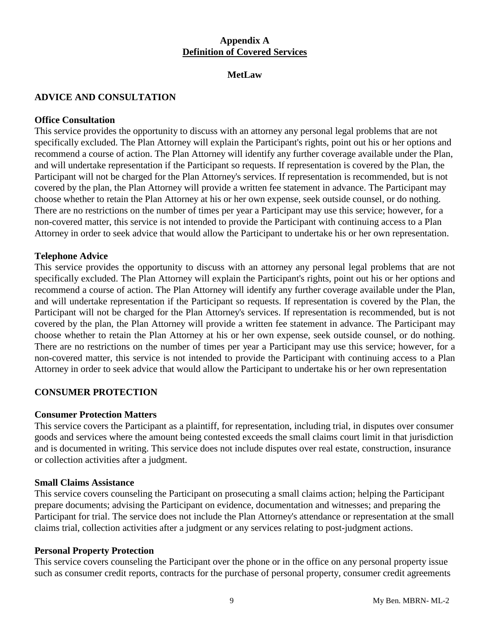## **Appendix A Definition of Covered Services**

#### **MetLaw**

#### **ADVICE AND CONSULTATION**

#### **Office Consultation**

This service provides the opportunity to discuss with an attorney any personal legal problems that are not specifically excluded. The Plan Attorney will explain the Participant's rights, point out his or her options and recommend a course of action. The Plan Attorney will identify any further coverage available under the Plan, and will undertake representation if the Participant so requests. If representation is covered by the Plan, the Participant will not be charged for the Plan Attorney's services. If representation is recommended, but is not covered by the plan, the Plan Attorney will provide a written fee statement in advance. The Participant may choose whether to retain the Plan Attorney at his or her own expense, seek outside counsel, or do nothing. There are no restrictions on the number of times per year a Participant may use this service; however, for a non-covered matter, this service is not intended to provide the Participant with continuing access to a Plan Attorney in order to seek advice that would allow the Participant to undertake his or her own representation.

#### **Telephone Advice**

This service provides the opportunity to discuss with an attorney any personal legal problems that are not specifically excluded. The Plan Attorney will explain the Participant's rights, point out his or her options and recommend a course of action. The Plan Attorney will identify any further coverage available under the Plan, and will undertake representation if the Participant so requests. If representation is covered by the Plan, the Participant will not be charged for the Plan Attorney's services. If representation is recommended, but is not covered by the plan, the Plan Attorney will provide a written fee statement in advance. The Participant may choose whether to retain the Plan Attorney at his or her own expense, seek outside counsel, or do nothing. There are no restrictions on the number of times per year a Participant may use this service; however, for a non-covered matter, this service is not intended to provide the Participant with continuing access to a Plan Attorney in order to seek advice that would allow the Participant to undertake his or her own representation

#### **CONSUMER PROTECTION**

#### **Consumer Protection Matters**

This service covers the Participant as a plaintiff, for representation, including trial, in disputes over consumer goods and services where the amount being contested exceeds the small claims court limit in that jurisdiction and is documented in writing. This service does not include disputes over real estate, construction, insurance or collection activities after a judgment.

#### **Small Claims Assistance**

This service covers counseling the Participant on prosecuting a small claims action; helping the Participant prepare documents; advising the Participant on evidence, documentation and witnesses; and preparing the Participant for trial. The service does not include the Plan Attorney's attendance or representation at the small claims trial, collection activities after a judgment or any services relating to post-judgment actions.

#### **Personal Property Protection**

This service covers counseling the Participant over the phone or in the office on any personal property issue such as consumer credit reports, contracts for the purchase of personal property, consumer credit agreements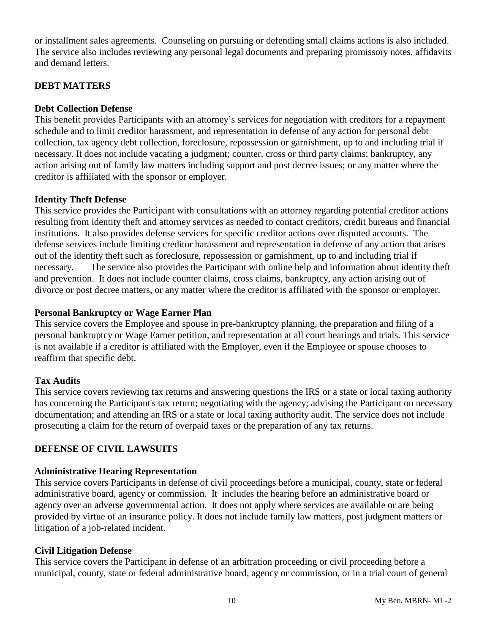or installment sales agreements. Counseling on pursuing or defending small claims actions is also included. The service also includes reviewing any personal legal documents and preparing promissory notes, affidavits and demand letters.

## **DEBT MATTERS**

#### **Debt Collection Defense**

This benefit provides Participants with an attorney's services for negotiation with creditors for a repayment schedule and to limit creditor harassment, and representation in defense of any action for personal debt collection, tax agency debt collection, foreclosure, repossession or garnishment, up to and including trial if necessary. It does not include vacating a judgment; counter, cross or third party claims; bankruptcy, any action arising out of family law matters including support and post decree issues; or any matter where the creditor is affiliated with the sponsor or employer.

#### **Identity Theft Defense**

This service provides the Participant with consultations with an attorney regarding potential creditor actions resulting from identity theft and attorney services as needed to contact creditors, credit bureaus and financial institutions. It also provides defense services for specific creditor actions over disputed accounts. The defense services include limiting creditor harassment and representation in defense of any action that arises out of the identity theft such as foreclosure, repossession or garnishment, up to and including trial if necessary. The service also provides the Participant with online help and information about identity theft and prevention. It does not include counter claims, cross claims, bankruptcy, any action arising out of divorce or post decree matters, or any matter where the creditor is affiliated with the sponsor or employer.

#### **Personal Bankruptcy or Wage Earner Plan**

This service covers the Employee and spouse in pre-bankruptcy planning, the preparation and filing of a personal bankruptcy or Wage Earner petition, and representation at all court hearings and trials. This service is not available if a creditor is affiliated with the Employer, even if the Employee or spouse chooses to reaffirm that specific debt.

#### **Tax Audits**

This service covers reviewing tax returns and answering questions the IRS or a state or local taxing authority has concerning the Participant's tax return; negotiating with the agency; advising the Participant on necessary documentation; and attending an IRS or a state or local taxing authority audit. The service does not include prosecuting a claim for the return of overpaid taxes or the preparation of any tax returns.

## **DEFENSE OF CIVIL LAWSUITS**

#### **Administrative Hearing Representation**

This service covers Participants in defense of civil proceedings before a municipal, county, state or federal administrative board, agency or commission. It includes the hearing before an administrative board or agency over an adverse governmental action. It does not apply where services are available or are being provided by virtue of an insurance policy. It does not include family law matters, post judgment matters or litigation of a job-related incident.

#### **Civil Litigation Defense**

This service covers the Participant in defense of an arbitration proceeding or civil proceeding before a municipal, county, state or federal administrative board, agency or commission, or in a trial court of general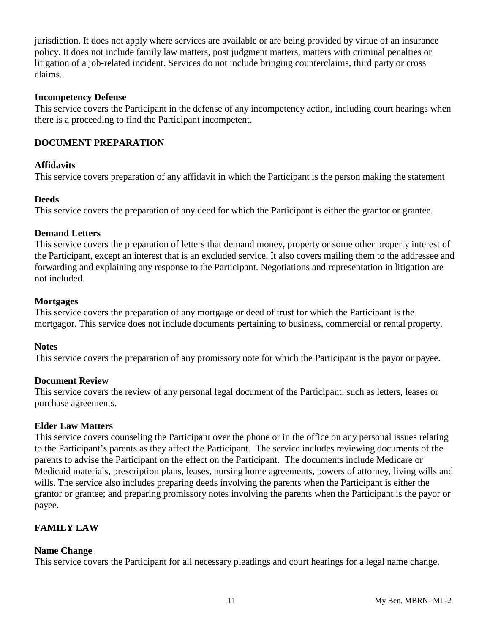jurisdiction. It does not apply where services are available or are being provided by virtue of an insurance policy. It does not include family law matters, post judgment matters, matters with criminal penalties or litigation of a job-related incident. Services do not include bringing counterclaims, third party or cross claims.

#### **Incompetency Defense**

This service covers the Participant in the defense of any incompetency action, including court hearings when there is a proceeding to find the Participant incompetent.

## **DOCUMENT PREPARATION**

## **Affidavits**

This service covers preparation of any affidavit in which the Participant is the person making the statement

## **Deeds**

This service covers the preparation of any deed for which the Participant is either the grantor or grantee.

## **Demand Letters**

This service covers the preparation of letters that demand money, property or some other property interest of the Participant, except an interest that is an excluded service. It also covers mailing them to the addressee and forwarding and explaining any response to the Participant. Negotiations and representation in litigation are not included.

#### **Mortgages**

This service covers the preparation of any mortgage or deed of trust for which the Participant is the mortgagor. This service does not include documents pertaining to business, commercial or rental property.

## **Notes**

This service covers the preparation of any promissory note for which the Participant is the payor or payee.

## **Document Review**

This service covers the review of any personal legal document of the Participant, such as letters, leases or purchase agreements.

## **Elder Law Matters**

This service covers counseling the Participant over the phone or in the office on any personal issues relating to the Participant's parents as they affect the Participant. The service includes reviewing documents of the parents to advise the Participant on the effect on the Participant. The documents include Medicare or Medicaid materials, prescription plans, leases, nursing home agreements, powers of attorney, living wills and wills. The service also includes preparing deeds involving the parents when the Participant is either the grantor or grantee; and preparing promissory notes involving the parents when the Participant is the payor or payee.

## **FAMILY LAW**

## **Name Change**

This service covers the Participant for all necessary pleadings and court hearings for a legal name change.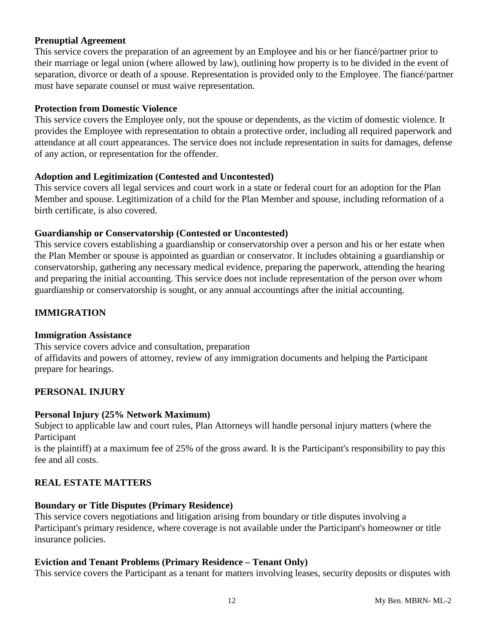#### **Prenuptial Agreement**

This service covers the preparation of an agreement by an Employee and his or her fiancé/partner prior to their marriage or legal union (where allowed by law), outlining how property is to be divided in the event of separation, divorce or death of a spouse. Representation is provided only to the Employee. The fiancé/partner must have separate counsel or must waive representation.

#### **Protection from Domestic Violence**

This service covers the Employee only, not the spouse or dependents, as the victim of domestic violence. It provides the Employee with representation to obtain a protective order, including all required paperwork and attendance at all court appearances. The service does not include representation in suits for damages, defense of any action, or representation for the offender.

#### **Adoption and Legitimization (Contested and Uncontested)**

This service covers all legal services and court work in a state or federal court for an adoption for the Plan Member and spouse. Legitimization of a child for the Plan Member and spouse, including reformation of a birth certificate, is also covered.

#### **Guardianship or Conservatorship (Contested or Uncontested)**

This service covers establishing a guardianship or conservatorship over a person and his or her estate when the Plan Member or spouse is appointed as guardian or conservator. It includes obtaining a guardianship or conservatorship, gathering any necessary medical evidence, preparing the paperwork, attending the hearing and preparing the initial accounting. This service does not include representation of the person over whom guardianship or conservatorship is sought, or any annual accountings after the initial accounting.

## **IMMIGRATION**

#### **Immigration Assistance**

This service covers advice and consultation, preparation of affidavits and powers of attorney, review of any immigration documents and helping the Participant prepare for hearings.

## **PERSONAL INJURY**

#### **Personal Injury (25% Network Maximum)**

Subject to applicable law and court rules, Plan Attorneys will handle personal injury matters (where the Participant

is the plaintiff) at a maximum fee of 25% of the gross award. It is the Participant's responsibility to pay this fee and all costs.

## **REAL ESTATE MATTERS**

#### **Boundary or Title Disputes (Primary Residence)**

This service covers negotiations and litigation arising from boundary or title disputes involving a Participant's primary residence, where coverage is not available under the Participant's homeowner or title insurance policies.

#### **Eviction and Tenant Problems (Primary Residence – Tenant Only)**

This service covers the Participant as a tenant for matters involving leases, security deposits or disputes with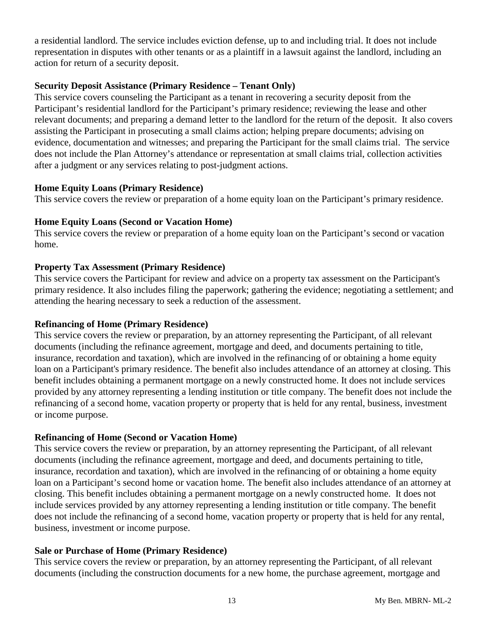a residential landlord. The service includes eviction defense, up to and including trial. It does not include representation in disputes with other tenants or as a plaintiff in a lawsuit against the landlord, including an action for return of a security deposit.

## **Security Deposit Assistance (Primary Residence – Tenant Only)**

This service covers counseling the Participant as a tenant in recovering a security deposit from the Participant's residential landlord for the Participant's primary residence; reviewing the lease and other relevant documents; and preparing a demand letter to the landlord for the return of the deposit. It also covers assisting the Participant in prosecuting a small claims action; helping prepare documents; advising on evidence, documentation and witnesses; and preparing the Participant for the small claims trial. The service does not include the Plan Attorney's attendance or representation at small claims trial, collection activities after a judgment or any services relating to post-judgment actions.

## **Home Equity Loans (Primary Residence)**

This service covers the review or preparation of a home equity loan on the Participant's primary residence.

## **Home Equity Loans (Second or Vacation Home)**

This service covers the review or preparation of a home equity loan on the Participant's second or vacation home.

## **Property Tax Assessment (Primary Residence)**

This service covers the Participant for review and advice on a property tax assessment on the Participant's primary residence. It also includes filing the paperwork; gathering the evidence; negotiating a settlement; and attending the hearing necessary to seek a reduction of the assessment.

## **Refinancing of Home (Primary Residence)**

This service covers the review or preparation, by an attorney representing the Participant, of all relevant documents (including the refinance agreement, mortgage and deed, and documents pertaining to title, insurance, recordation and taxation), which are involved in the refinancing of or obtaining a home equity loan on a Participant's primary residence. The benefit also includes attendance of an attorney at closing. This benefit includes obtaining a permanent mortgage on a newly constructed home. It does not include services provided by any attorney representing a lending institution or title company. The benefit does not include the refinancing of a second home, vacation property or property that is held for any rental, business, investment or income purpose.

## **Refinancing of Home (Second or Vacation Home)**

This service covers the review or preparation, by an attorney representing the Participant, of all relevant documents (including the refinance agreement, mortgage and deed, and documents pertaining to title, insurance, recordation and taxation), which are involved in the refinancing of or obtaining a home equity loan on a Participant's second home or vacation home. The benefit also includes attendance of an attorney at closing. This benefit includes obtaining a permanent mortgage on a newly constructed home. It does not include services provided by any attorney representing a lending institution or title company. The benefit does not include the refinancing of a second home, vacation property or property that is held for any rental, business, investment or income purpose.

## **Sale or Purchase of Home (Primary Residence)**

This service covers the review or preparation, by an attorney representing the Participant, of all relevant documents (including the construction documents for a new home, the purchase agreement, mortgage and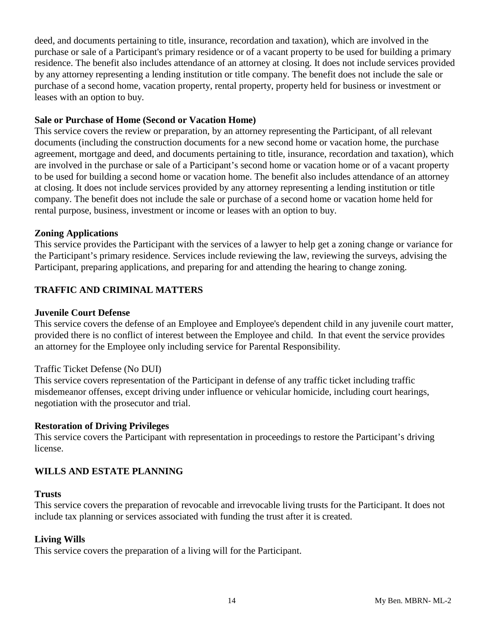deed, and documents pertaining to title, insurance, recordation and taxation), which are involved in the purchase or sale of a Participant's primary residence or of a vacant property to be used for building a primary residence. The benefit also includes attendance of an attorney at closing. It does not include services provided by any attorney representing a lending institution or title company. The benefit does not include the sale or purchase of a second home, vacation property, rental property, property held for business or investment or leases with an option to buy.

#### **Sale or Purchase of Home (Second or Vacation Home)**

This service covers the review or preparation, by an attorney representing the Participant, of all relevant documents (including the construction documents for a new second home or vacation home, the purchase agreement, mortgage and deed, and documents pertaining to title, insurance, recordation and taxation), which are involved in the purchase or sale of a Participant's second home or vacation home or of a vacant property to be used for building a second home or vacation home. The benefit also includes attendance of an attorney at closing. It does not include services provided by any attorney representing a lending institution or title company. The benefit does not include the sale or purchase of a second home or vacation home held for rental purpose, business, investment or income or leases with an option to buy.

#### **Zoning Applications**

This service provides the Participant with the services of a lawyer to help get a zoning change or variance for the Participant's primary residence. Services include reviewing the law, reviewing the surveys, advising the Participant, preparing applications, and preparing for and attending the hearing to change zoning.

## **TRAFFIC AND CRIMINAL MATTERS**

#### **Juvenile Court Defense**

This service covers the defense of an Employee and Employee's dependent child in any juvenile court matter, provided there is no conflict of interest between the Employee and child. In that event the service provides an attorney for the Employee only including service for Parental Responsibility.

## Traffic Ticket Defense (No DUI)

This service covers representation of the Participant in defense of any traffic ticket including traffic misdemeanor offenses, except driving under influence or vehicular homicide, including court hearings, negotiation with the prosecutor and trial.

## **Restoration of Driving Privileges**

This service covers the Participant with representation in proceedings to restore the Participant's driving license.

## **WILLS AND ESTATE PLANNING**

#### **Trusts**

This service covers the preparation of revocable and irrevocable living trusts for the Participant. It does not include tax planning or services associated with funding the trust after it is created.

## **Living Wills**

This service covers the preparation of a living will for the Participant.